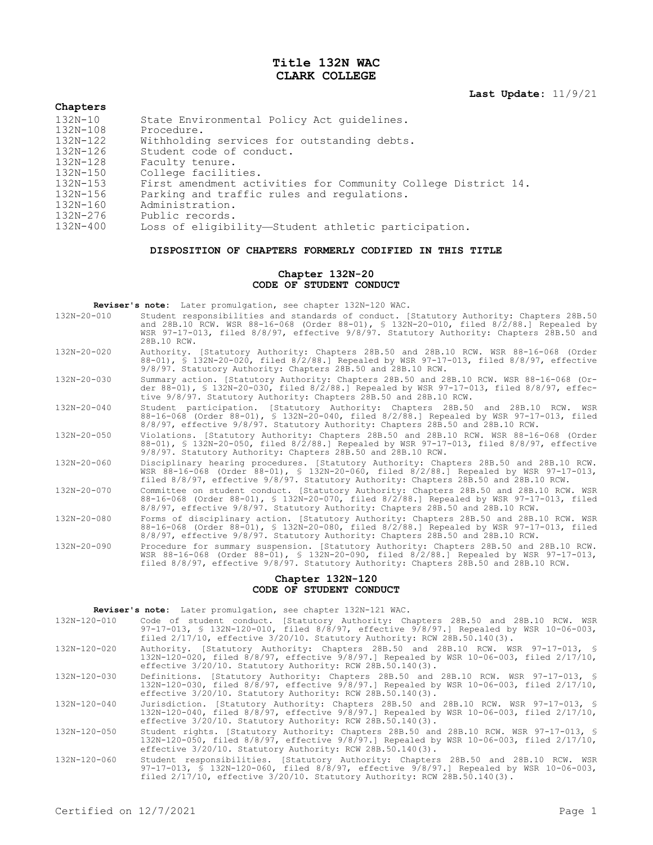# **Title 132N WAC CLARK COLLEGE**

**Last Update:** 11/9/21

| Chapters     |                                                               |
|--------------|---------------------------------------------------------------|
| $132N - 10$  | State Environmental Policy Act quidelines.                    |
| 132N-108     | Procedure.                                                    |
| 132N-122     | Withholding services for outstanding debts.                   |
| 132N-126     | Student code of conduct.                                      |
| $132N - 128$ | Faculty tenure.                                               |
| 132N-150     | College facilities.                                           |
| $132N - 153$ | First amendment activities for Community College District 14. |
| 132N-156     | Parking and traffic rules and regulations.                    |
| 132N-160     | Administration.                                               |
| 132N-276     | Public records.                                               |
| $132N - 400$ | Loss of eligibility—Student athletic participation.           |

## **DISPOSITION OF CHAPTERS FORMERLY CODIFIED IN THIS TITLE**

### **Chapter 132N-20 CODE OF STUDENT CONDUCT**

**Reviser's note:** Later promulgation, see chapter 132N-120 WAC.

| $132N - 20 - 010$ | Student responsibilities and standards of conduct. [Statutory Authority: Chapters 28B.50<br>and 28B.10 RCW. WSR 88-16-068 (Order 88-01), § 132N-20-010, filed 8/2/88.] Repealed by<br>WSR 97-17-013, filed 8/8/97, effective 9/8/97. Statutory Authority: Chapters 28B.50 and<br>28B.10 RCW. |
|-------------------|----------------------------------------------------------------------------------------------------------------------------------------------------------------------------------------------------------------------------------------------------------------------------------------------|
| $132N - 20 - 020$ | Authority. [Statutory Authority: Chapters 28B.50 and 28B.10 RCW. WSR 88-16-068 (Order<br>88-01), § 132N-20-020, filed 8/2/88.] Repealed by WSR 97-17-013, filed 8/8/97, effective<br>9/8/97. Statutory Authority: Chapters 28B.50 and 28B.10 RCW.                                            |
| $132N - 20 - 030$ | Summary action. [Statutory Authority: Chapters 28B.50 and 28B.10 RCW. WSR 88-16-068 (Or-<br>der 88-01), § 132N-20-030, filed 8/2/88.] Repealed by WSR 97-17-013, filed 8/8/97, effec-<br>tive 9/8/97. Statutory Authority: Chapters 28B.50 and 28B.10 RCW.                                   |
| $132N - 20 - 040$ | Student participation. [Statutory Authority: Chapters 28B.50 and 28B.10 RCW. WSR<br>88-16-068 (Order 88-01), § 132N-20-040, filed 8/2/88.] Repealed by WSR 97-17-013, filed<br>8/8/97, effective 9/8/97. Statutory Authority: Chapters 28B.50 and 28B.10 RCW.                                |
| $132N - 20 - 050$ | Violations. [Statutory Authority: Chapters 28B.50 and 28B.10 RCW. WSR 88-16-068 (Order<br>88-01), § 132N-20-050, filed 8/2/88.1 Repealed by WSR 97-17-013, filed 8/8/97, effective<br>9/8/97. Statutory Authority: Chapters 28B.50 and 28B.10 RCW.                                           |
| $132N - 20 - 060$ | Disciplinary hearing procedures. [Statutory Authority: Chapters 28B.50 and 28B.10 RCW.<br>WSR 88-16-068 (Order 88-01), § 132N-20-060, filed 8/2/88.] Repealed by WSR 97-17-013,<br>filed 8/8/97, effective 9/8/97. Statutory Authority: Chapters 28B.50 and 28B.10 RCW.                      |
| $132N - 20 - 070$ | Committee on student conduct. [Statutory Authority: Chapters 28B.50 and 28B.10 RCW. WSR<br>88-16-068 (Order 88-01), § 132N-20-070, filed 8/2/88.] Repealed by WSR 97-17-013, filed<br>8/8/97, effective 9/8/97. Statutory Authority: Chapters 28B.50 and 28B.10 RCW.                         |
| $132N - 20 - 080$ | Forms of disciplinary action. [Statutory Authority: Chapters 28B.50 and 28B.10 RCW. WSR<br>88-16-068 (Order 88-01), § 132N-20-080, filed 8/2/88.] Repealed by WSR 97-17-013, filed<br>8/8/97, effective 9/8/97. Statutory Authority: Chapters 28B.50 and 28B.10 RCW.                         |
| 132N-20-090       | Procedure for summary suspension. [Statutory Authority: Chapters 28B.50 and 28B.10 RCW.<br>WSR 88-16-068 (Order 88-01), \$ 132N-20-090, filed 8/2/88.] Repealed by WSR 97-17-013,<br>filed 8/8/97, effective 9/8/97. Statutory Authority: Chapters 28B.50 and 28B.10 RCW.                    |

#### **Chapter 132N-120 CODE OF STUDENT CONDUCT**

| Reviser's note: Later promulgation, see chapter 132N-121 WAC. |  |  |  |  |  |  |
|---------------------------------------------------------------|--|--|--|--|--|--|
|---------------------------------------------------------------|--|--|--|--|--|--|

| 132N-120-010 | Code of student conduct. [Statutory Authority: Chapters 28B.50 and 28B.10 RCW. WSR     |  |  |  |
|--------------|----------------------------------------------------------------------------------------|--|--|--|
|              | 97-17-013, § 132N-120-010, filed 8/8/97, effective 9/8/97.] Repealed by WSR 10-06-003, |  |  |  |
|              | filed $2/17/10$ , effective $3/20/10$ . Statutory Authority: RCW 28B.50.140(3).        |  |  |  |

132N-120-020 Authority. [Statutory Authority: Chapters 28B.50 and 28B.10 RCW. WSR 97-17-013, § 132N-120-020, filed 8/8/97, effective 9/8/97.] Repealed by WSR 10-06-003, filed 2/17/10, effective 3/20/10. Statutory Authority: RCW 28B.50.140(3).

132N-120-030 Definitions. [Statutory Authority: Chapters 28B.50 and 28B.10 RCW. WSR 97-17-013, § 132N-120-030, filed 8/8/97, effective 9/8/97.] Repealed by WSR 10-06-003, filed 2/17/10, effective 3/20/10. Statutory Authority: RCW 28B.50.140(3).

132N-120-040 Jurisdiction. [Statutory Authority: Chapters 28B.50 and 28B.10 RCW. WSR 97-17-013, § 132N-120-040, filed 8/8/97, effective 9/8/97.] Repealed by WSR 10-06-003, filed 2/17/10, effective 3/20/10. Statutory Authority: RCW 28B.50.140(3).

132N-120-050 Student rights. [Statutory Authority: Chapters 28B.50 and 28B.10 RCW. WSR 97-17-013, § 132N-120-050, filed 8/8/97, effective 9/8/97.] Repealed by WSR 10-06-003, filed 2/17/10, effective 3/20/10. Statutory Authority: RCW 28B.50.140(3).

132N-120-060 Student responsibilities. [Statutory Authority: Chapters 28B.50 and 28B.10 RCW. WSR 97-17-013, § 132N-120-060, filed 8/8/97, effective 9/8/97.] Repealed by WSR 10-06-003, filed 2/17/10, effective 3/20/10. Statutory Authority: RCW 28B.50.140(3).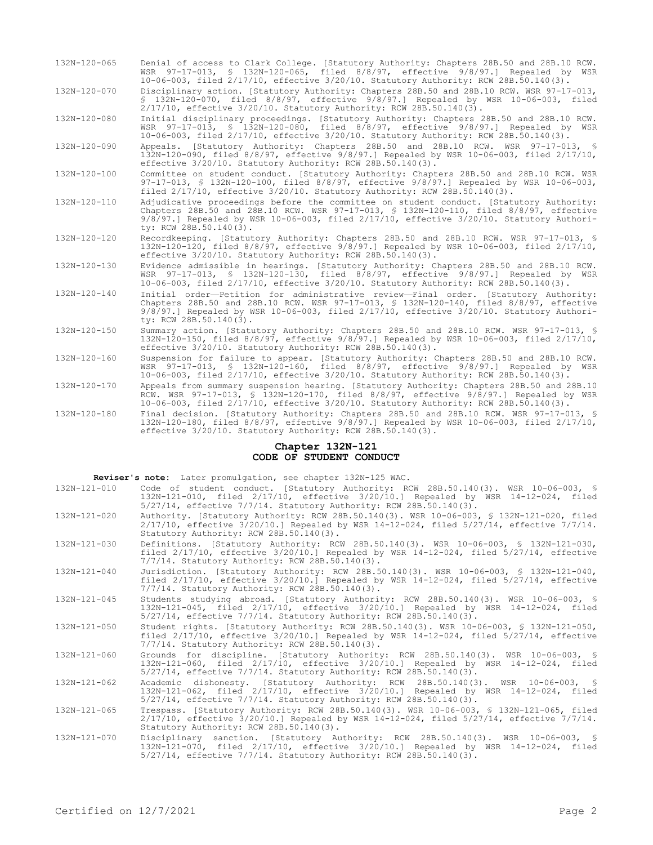| $132N - 120 - 065$ | Denial of access to Clark College. [Statutory Authority: Chapters 28B.50 and 28B.10 RCW.<br>WSR 97-17-013, § 132N-120-065, filed 8/8/97, effective 9/8/97.1 Repealed by WSR<br>10-06-003, filed 2/17/10, effective 3/20/10. Statutory Authority: RCW 28B.50.140(3).                                         |
|--------------------|-------------------------------------------------------------------------------------------------------------------------------------------------------------------------------------------------------------------------------------------------------------------------------------------------------------|
| 132N-120-070       | Disciplinary action. [Statutory Authority: Chapters 28B.50 and 28B.10 RCW. WSR 97-17-013,<br>\$ 132N-120-070, filed 8/8/97, effective 9/8/97.] Repealed by WSR 10-06-003, filed<br>2/17/10, effective 3/20/10. Statutory Authority: RCW 28B.50.140(3).                                                      |
| $132N - 120 - 080$ | Initial disciplinary proceedings. [Statutory Authority: Chapters 28B.50 and 28B.10 RCW.<br>WSR 97-17-013, § 132N-120-080, filed 8/8/97, effective 9/8/97.] Repealed by WSR<br>10-06-003, filed 2/17/10, effective 3/20/10. Statutory Authority: RCW 28B.50.140(3).                                          |
| 132N-120-090       | Appeals. [Statutory Authority: Chapters 28B.50 and 28B.10 RCW. WSR 97-17-013, §<br>132N-120-090, filed 8/8/97, effective 9/8/97.] Repealed by WSR 10-06-003, filed 2/17/10,<br>effective 3/20/10. Statutory Authority: RCW 28B.50.140(3).                                                                   |
| 132N-120-100       | Committee on student conduct. [Statutory Authority: Chapters 28B.50 and 28B.10 RCW. WSR<br>97-17-013, § 132N-120-100, filed 8/8/97, effective 9/8/97.] Repealed by WSR 10-06-003,<br>filed 2/17/10, effective 3/20/10. Statutory Authority: RCW 28B.50.140(3).                                              |
| 132N-120-110       | Adjudicative proceedings before the committee on student conduct. [Statutory Authority:<br>Chapters 28B.50 and 28B.10 RCW. WSR 97-17-013, § 132N-120-110, filed 8/8/97, effective<br>$9/8/97$ .] Repealed by WSR 10-06-003, filed 2/17/10, effective 3/20/10. Statutory Authori-<br>ty: RCW 28B.50.140(3).  |
| 132N-120-120       | Recordkeeping. [Statutory Authority: Chapters 28B.50 and 28B.10 RCW. WSR 97-17-013, §<br>132N-120-120, filed 8/8/97, effective 9/8/97.1 Repealed by WSR 10-06-003, filed 2/17/10,<br>effective 3/20/10. Statutory Authority: RCW 28B.50.140(3).                                                             |
| $132N - 120 - 130$ | Evidence admissible in hearings. [Statutory Authority: Chapters 28B.50 and 28B.10 RCW.<br>WSR 97-17-013, § 132N-120-130, filed 8/8/97, effective 9/8/97.] Repealed by WSR<br>10-06-003, filed 2/17/10, effective 3/20/10. Statutory Authority: RCW 28B.50.140(3).                                           |
| $132N - 120 - 140$ | Initial order-Petition for administrative review-Final order. [Statutory Authority:<br>Chapters 28B.50 and 28B.10 RCW. WSR 97-17-013, § 132N-120-140, filed 8/8/97, effective<br>$9/8/97$ . Repealed by WSR 10-06-003, filed $2/17/10$ , effective $3/20/10$ . Statutory Authori-<br>ty: RCW 28B.50.140(3). |
| $132N - 120 - 150$ | Summary action. [Statutory Authority: Chapters 28B.50 and 28B.10 RCW. WSR 97-17-013, §<br>132N-120-150, filed 8/8/97, effective 9/8/97.] Repealed by WSR 10-06-003, filed 2/17/10,<br>effective 3/20/10. Statutory Authority: RCW 28B.50.140(3).                                                            |
| $132N - 120 - 160$ | Suspension for failure to appear. [Statutory Authority: Chapters 28B.50 and 28B.10 RCW.<br>WSR 97-17-013, § 132N-120-160, filed 8/8/97, effective 9/8/97.] Repealed by WSR<br>10-06-003, filed 2/17/10, effective 3/20/10. Statutory Authority: RCW 28B.50.140(3).                                          |
| 132N-120-170       | Appeals from summary suspension hearing. [Statutory Authority: Chapters 28B.50 and 28B.10<br>RCW. WSR 97-17-013, \$ 132N-120-170, filed 8/8/97, effective 9/8/97.] Repealed by WSR<br>10-06-003, filed 2/17/10, effective 3/20/10. Statutory Authority: RCW 28B.50.140(3).                                  |
| $132N - 120 - 180$ | Final decision. [Statutory Authority: Chapters 28B.50 and 28B.10 RCW. WSR 97-17-013, §<br>132N-120-180, filed 8/8/97, effective 9/8/97.1 Repealed by WSR 10-06-003, filed 2/17/10,<br>effective 3/20/10. Statutory Authority: RCW 28B.50.140(3).                                                            |

#### **Chapter 132N-121 CODE OF STUDENT CONDUCT**

**Reviser's note:** Later promulgation, see chapter 132N-125 WAC.

| 132N-121-010 |  |  |                                                                          |  | Code of student conduct. [Statutory Authority: RCW 28B.50.140(3). WSR 10-06-003, § |  |
|--------------|--|--|--------------------------------------------------------------------------|--|------------------------------------------------------------------------------------|--|
|              |  |  |                                                                          |  | 132N-121-010, filed 2/17/10, effective 3/20/10.1 Repealed by WSR 14-12-024, filed  |  |
|              |  |  | $5/27/14$ , effective $7/7/14$ . Statutory Authority: RCW 28B.50.140(3). |  |                                                                                    |  |

- 132N-121-020 Authority. [Statutory Authority: RCW 28B.50.140(3). WSR 10-06-003, § 132N-121-020, filed 2/17/10, effective 3/20/10.] Repealed by WSR 14-12-024, filed 5/27/14, effective 7/7/14. Statutory Authority: RCW 28B.50.140(3).
- 132N-121-030 Definitions. [Statutory Authority: RCW 28B.50.140(3). WSR 10-06-003, § 132N-121-030, filed 2/17/10, effective 3/20/10.] Repealed by WSR 14-12-024, filed 5/27/14, effective 7/7/14. Statutory Authority: RCW 28B.50.140(3).
- 132N-121-040 Jurisdiction. [Statutory Authority: RCW 28B.50.140(3). WSR 10-06-003, § 132N-121-040, filed 2/17/10, effective 3/20/10.] Repealed by WSR 14-12-024, filed 5/27/14, effective 7/7/14. Statutory Authority: RCW 28B.50.140(3).
- 132N-121-045 Students studying abroad. [Statutory Authority: RCW 28B.50.140(3). WSR 10-06-003, § 132N-121-045, filed 2/17/10, effective 3/20/10.] Repealed by WSR 14-12-024, filed 5/27/14, effective 7/7/14. Statutory Authority: RCW 28B.50.140(3).
- 132N-121-050 Student rights. [Statutory Authority: RCW 28B.50.140(3). WSR 10-06-003, § 132N-121-050, filed 2/17/10, effective 3/20/10.] Repealed by WSR 14-12-024, filed 5/27/14, effective 7/7/14. Statutory Authority: RCW 28B.50.140(3).
- 132N-121-060 Grounds for discipline. [Statutory Authority: RCW 28B.50.140(3). WSR 10-06-003, § 132N-121-060, filed 2/17/10, effective 3/20/10.] Repealed by WSR 14-12-024, filed 5/27/14, effective 7/7/14. Statutory Authority: RCW 28B.50.140(3).
- 132N-121-062 Academic dishonesty. [Statutory Authority: RCW 28B.50.140(3). WSR 10-06-003, § 132N-121-062, filed 2/17/10, effective 3/20/10.] Repealed by WSR 14-12-024, filed 5/27/14, effective 7/7/14. Statutory Authority: RCW 28B.50.140(3).

132N-121-065 Trespass. [Statutory Authority: RCW 28B.50.140(3). WSR 10-06-003, § 132N-121-065, filed 2/17/10, effective 3/20/10.] Repealed by WSR 14-12-024, filed 5/27/14, effective 7/7/14. Statutory Authority: RCW 28B.50.140(3).

132N-121-070 Disciplinary sanction. [Statutory Authority: RCW 28B.50.140(3). WSR 10-06-003, § 132N-121-070, filed 2/17/10, effective 3/20/10.] Repealed by WSR 14-12-024, filed 5/27/14, effective 7/7/14. Statutory Authority: RCW 28B.50.140(3).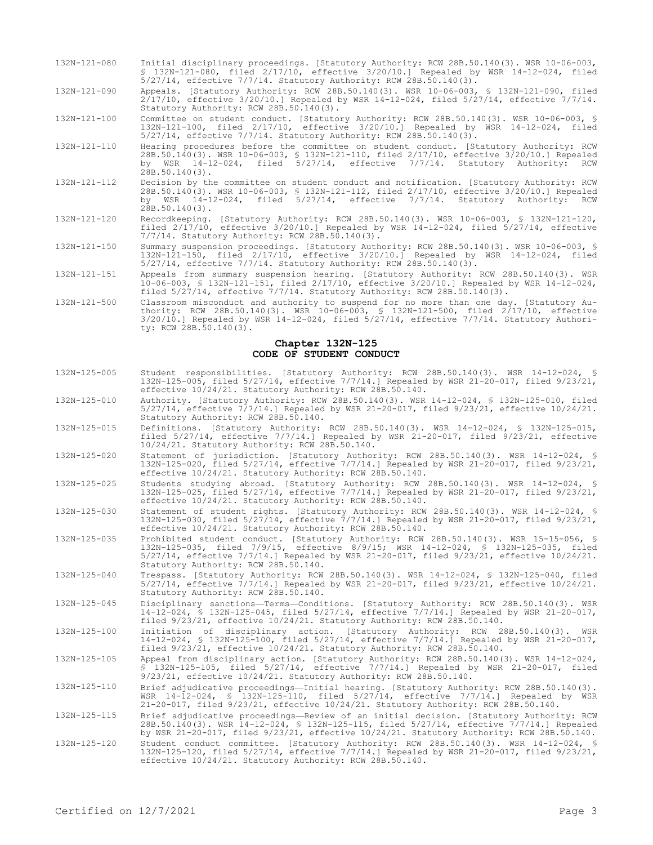| 132N-121-080 | Initial disciplinary proceedings. [Statutory Authority: RCW 28B.50.140(3). WSR 10-06-003, |  |
|--------------|-------------------------------------------------------------------------------------------|--|
|              | § 132N-121-080, filed 2/17/10, effective 3/20/10.1 Repealed by WSR 14-12-024, filed       |  |
|              | $5/27/14$ , effective $7/7/14$ . Statutory Authority: RCW 28B.50.140(3).                  |  |

132N-121-090 Appeals. [Statutory Authority: RCW 28B.50.140(3). WSR 10-06-003, § 132N-121-090, filed 2/17/10, effective 3/20/10.] Repealed by WSR 14-12-024, filed 5/27/14, effective 7/7/14. Statutory Authority: RCW 28B.50.140(3).

132N-121-100 Committee on student conduct. [Statutory Authority: RCW 28B.50.140(3). WSR 10-06-003, § 132N-121-100, filed 2/17/10, effective 3/20/10.] Repealed by WSR 14-12-024, filed 5/27/14, effective 7/7/14. Statutory Authority: RCW 28B.50.140(3).

132N-121-110 Hearing procedures before the committee on student conduct. [Statutory Authority: RCW 28B.50.140(3). WSR 10-06-003, § 132N-121-110, filed 2/17/10, effective 3/20/10.] Repealed by WSR 14-12-024, filed 5/27/14, effective 7/7/14. Statutory Authority: RCW 28B.50.140(3).

- 132N-121-112 Decision by the committee on student conduct and notification. [Statutory Authority: RCW 28B.50.140(3). WSR 10-06-003, § 132N-121-112, filed 2/17/10, effective 3/20/10.] Repealed by WSR 14-12-024, filed 5/27/14, effective 7/7/14. Statutory Authority: RCW 28B.50.140(3).
- 132N-121-120 Recordkeeping. [Statutory Authority: RCW 28B.50.140(3). WSR 10-06-003, § 132N-121-120, filed 2/17/10, effective 3/20/10.] Repealed by WSR 14-12-024, filed 5/27/14, effective 7/7/14. Statutory Authority: RCW 28B.50.140(3).
- 132N-121-150 Summary suspension proceedings. [Statutory Authority: RCW 28B.50.140(3). WSR 10-06-003, § 132N-121-150, filed 2/17/10, effective 3/20/10.] Repealed by WSR 14-12-024, filed 5/27/14, effective 7/7/14. Statutory Authority: RCW 28B.50.140(3).
- 132N-121-151 Appeals from summary suspension hearing. [Statutory Authority: RCW 28B.50.140(3). WSR 10-06-003, § 132N-121-151, filed 2/17/10, effective 3/20/10.] Repealed by WSR 14-12-024, filed 5/27/14, effective 7/7/14. Statutory Authority: RCW 28B.50.140(3).
- 132N-121-500 Classroom misconduct and authority to suspend for no more than one day. [Statutory Authority: RCW 28B.50.140(3). WSR 10-06-003, § 132N-121-500, filed 2/17/10, effective 3/20/10.] Repealed by WSR 14-12-024, filed 5/27/14, effective 7/7/14. Statutory Authority: RCW 28B.50.140(3).

#### **Chapter 132N-125 CODE OF STUDENT CONDUCT**

- 132N-125-005 Student responsibilities. [Statutory Authority: RCW 28B.50.140(3). WSR 14-12-024, § 132N-125-005, filed 5/27/14, effective 7/7/14.] Repealed by WSR 21-20-017, filed 9/23/21, effective 10/24/21. Statutory Authority: RCW 28B.50.140.
- 132N-125-010 Authority. [Statutory Authority: RCW 28B.50.140(3). WSR 14-12-024, § 132N-125-010, filed 5/27/14, effective 7/7/14.] Repealed by WSR 21-20-017, filed 9/23/21, effective 10/24/21. Statutory Authority: RCW 28B.50.140.
- 132N-125-015 Definitions. [Statutory Authority: RCW 28B.50.140(3). WSR 14-12-024, § 132N-125-015, filed 5/27/14, effective 7/7/14.] Repealed by WSR 21-20-017, filed 9/23/21, effective 10/24/21. Statutory Authority: RCW 28B.50.140.
- 132N-125-020 Statement of jurisdiction. [Statutory Authority: RCW 28B.50.140(3). WSR 14-12-024, § 132N-125-020, filed 5/27/14, effective 7/7/14.] Repealed by WSR 21-20-017, filed 9/23/21, effective 10/24/21. Statutory Authority: RCW 28B.50.140.

132N-125-025 Students studying abroad. [Statutory Authority: RCW 28B.50.140(3). WSR 14-12-024, § 132N-125-025, filed 5/27/14, effective 7/7/14.] Repealed by WSR 21-20-017, filed 9/23/21, effective 10/24/21. Statutory Authority: RCW 28B.50.140.

- 132N-125-030 Statement of student rights. [Statutory Authority: RCW 28B.50.140(3). WSR 14-12-024, § 132N-125-030, filed 5/27/14, effective 7/7/14.] Repealed by WSR 21-20-017, filed 9/23/21, effective 10/24/21. Statutory Authority: RCW 28B.50.140.
- 132N-125-035 Prohibited student conduct. [Statutory Authority: RCW 28B.50.140(3). WSR 15-15-056, § 132N-125-035, filed 7/9/15, effective 8/9/15; WSR 14-12-024, § 132N-125-035, filed 5/27/14, effective 7/7/14.] Repealed by WSR 21-20-017, filed 9/23/21, effective 10/24/21. Statutory Authority: RCW 28B.50.140.
- 132N-125-040 Trespass. [Statutory Authority: RCW 28B.50.140(3). WSR 14-12-024, § 132N-125-040, filed 5/27/14, effective 7/7/14.] Repealed by WSR 21-20-017, filed 9/23/21, effective 10/24/21. Statutory Authority: RCW 28B.50.140.
- 132N-125-045 Disciplinary sanctions—Terms—Conditions. [Statutory Authority: RCW 28B.50.140(3). WSR 14-12-024, § 132N-125-045, filed 5/27/14, effective 7/7/14.] Repealed by WSR 21-20-017, filed 9/23/21, effective 10/24/21. Statutory Authority: RCW 28B.50.140.
- 132N-125-100 Initiation of disciplinary action. [Statutory Authority: RCW 28B.50.140(3). WSR 14-12-024, § 132N-125-100, filed 5/27/14, effective 7/7/14.] Repealed by WSR 21-20-017, filed 9/23/21, effective 10/24/21. Statutory Authority: RCW 28B.50.140.
- 132N-125-105 Appeal from disciplinary action. [Statutory Authority: RCW 28B.50.140(3). WSR 14-12-024, § 132N-125-105, filed 5/27/14, effective 7/7/14.] Repealed by WSR 21-20-017, filed 9/23/21, effective 10/24/21. Statutory Authority: RCW 28B.50.140.
- 132N-125-110 Brief adjudicative proceedings—Initial hearing. [Statutory Authority: RCW 28B.50.140(3). WSR 14-12-024, § 132N-125-110, filed 5/27/14, effective 7/7/14.] Repealed by WSR 21-20-017, filed 9/23/21, effective 10/24/21. Statutory Authority: RCW 28B.50.140.
- 132N-125-115 Brief adjudicative proceedings—Review of an initial decision. [Statutory Authority: RCW 28B.50.140(3). WSR 14-12-024, § 132N-125-115, filed 5/27/14, effective 7/7/14.] Repealed by WSR 21-20-017, filed 9/23/21, effective 10/24/21. Statutory Authority: RCW 28B.50.140.
- 132N-125-120 Student conduct committee. [Statutory Authority: RCW 28B.50.140(3). WSR 14-12-024, § 132N-125-120, filed 5/27/14, effective 7/7/14.] Repealed by WSR 21-20-017, filed 9/23/21, effective 10/24/21. Statutory Authority: RCW 28B.50.140.